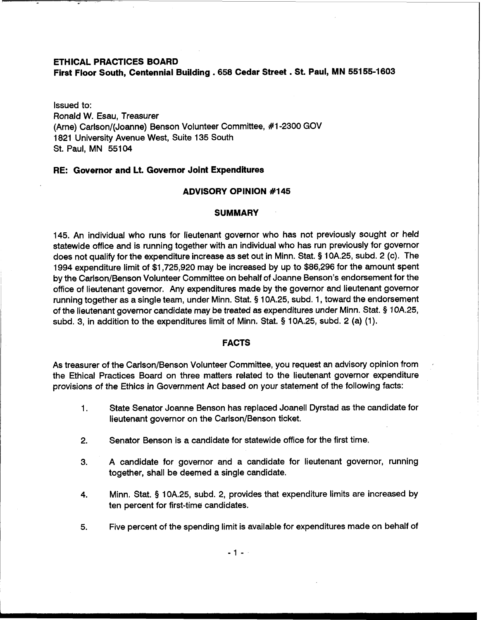### **ETHICAL PRACTICES BOARD**

**First Floor South, Centennial Building** . **658 Cedar Street** . **St. Paul, MN 55155-1603** 

Issued to: Ronald W. Esau, Treasurer (Arne) Carlson/(Joanne) Benson Volunteer Committee, #1-2300 GOV 1821 University Avenue West, Suite 135 South St. Paul, MN 55104

## **RE: Governor and Lt. Governor Joint Expenditures**

# **ADVISORY OPINION #I 45**

#### **SUMMARY**

145. An individual who runs for lieutenant governor who has not previously sought or held statewide office and is running together with an individual who has run previously for governor does not qualify for the expenditure increase as set out in Minn. Stat. § 10A.25, subd. 2 (c). The 1994 expenditure limit of \$1,725,920 may be increased by up to \$86,296 for the amount spent by the Carlson/Benson Volunteer Committee on behalf of Joanne Benson's endorsement for the office of lieutenant governor. Any expenditures made by the governor and lieutenant governor running together as a single team, under Minn. Stat. **5** 1 OA.25, subd. 1, toward the endorsement of the lieutenant governor candidate may be treated as expenditures under Minn. Stat. § 108.25, subd. 3, in addition to the expenditures limit of Minn. Stat. § 10A.25, subd. 2 (a) (1).

## **FACTS** <sup>1</sup>

As treasurer of the Carlson/Benson Volunteer Committee, you request an advisory opinion from the Ethical Practices Board on three matters related to the lieutenant governor expenditure provisions of the Ethics in Government Act based on your statement of the following facts:

- 1. State Senator Joanne Benson has replaced Joanell Dyrstad as the candidate for lieutenant governor on the Carlson/Benson ticket.
- 2. Senator Benson is a candidate for statewide office for the first time.
- 3. A candidate for governor and a candidate for lieutenant governor, running together, shall be deemed a single candidate.
- **4.** Minn. Stat. *5* 10A.25, subd. 2, provides that expenditure limits are increased by ten percent for first-time candidates.
- **5.** Five percent of the spending limit is available for expenditures made on behalf of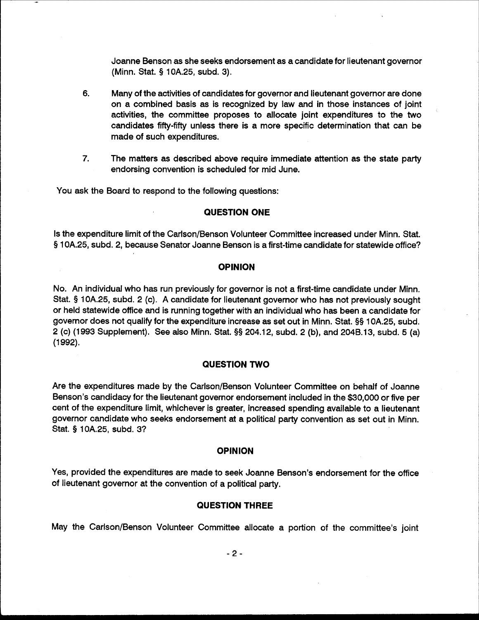Joanne Benson as she seeks endorsement as a candidate for lieutenant governor (Minn. Stat. § 10A.25, subd. 3).

- 6. Many of the activities of candidates for governor and lieutenant governor are done on a combined basis as is recognized by law and in those instances of joint activities, the committee proposes to allocate joint expenditures to the two candidates fifty-fifty unless there is a more specific determination that can be made of such expenditures.
- 7. The matters as described above require immediate attention as the state party endorsing convention is scheduled for mid June.

You ask the Board to respond to the following questions:

## **QUESTION ONE**

Is the expenditure limit of the Carlson/Benson Volunteer Committee increased under Minn. Stat. § 10A.25, subd. 2, because Senator Joanne Benson is a first-time candidate for statewide office?

## **OPINION**

No. An individual who has run previously for governor is not a first-time candidate under Minn. Stat. § 10A.25, subd. 2 (c). A candidate for lieutenant governor who has not previously sought or held statewide office and is running together with an individual who has been a candidate for governor does not qualify for the expenditure increase as set out in Minn. Stat. §§ 10A.25, subd. 2 (c) (1993 Supplement). See also Minn. Stat. §§ 204.12, subd. 2 (b), and 204B.13, subd. 5 (a)  $(1992).$ 

### **QUESTION TWO**

Are the expenditures made by the Carlson/Benson Volunteer Committee on behalf of Joanne Benson's candidacy for the lieutenant governor endorsement included in the \$30,000 or five per cent of the expenditure limit, whichever is greater, increased spending available to a lieutenant governor candidate who seeks endorsement at a political party convention as set out in Minn. Stat. § 10A.25, subd. 3?

#### **OPINION**

Yes, provided the expenditures are made to seek Joanne Benson's endorsement for the office of lieutenant governor at the convention of a political party.

# **QUESTION THREE**

May the Carlson/Benson Volunteer Committee allocate a portion of the committee's joint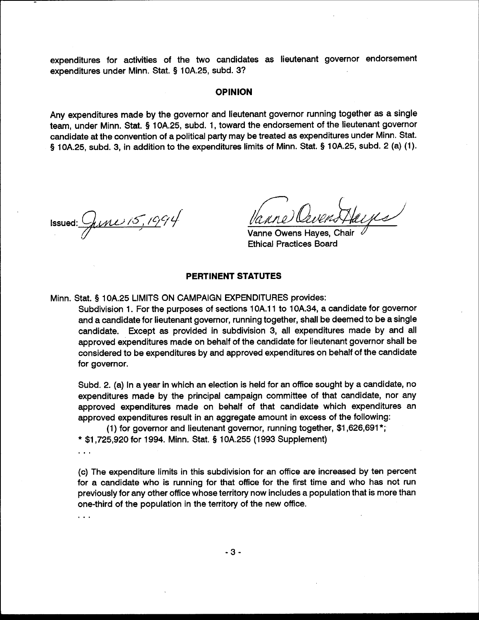expenditures for activities of the two candidates as lieutenant governor endorsement expenditures under Minn. Stat. § 10A.25, subd. 3?

### **OPINION**

Any expenditures made by the governor and lieutenant governor running together as a single team, under Minn. Stat. § 10A.25, subd. 1, toward the endorsement of the lieutenant governor candidate at the convention of a political party may be treated as expenditures under Minn. Stat. § 10A.25, subd. 3, in addition to the expenditures limits of Minn. Stat. § 10A.25, subd. 2 (a) (1).

Issued:  $\frac{C_{\text{flux}}}{C_{\text{flux}}}/\frac{1004}{C_{\text{star}}}$ 

Vanne Owens Haves, Chair **Ethical Practices Board** 

# **PERTINENT STATUTES**

Minn. Stat. § 10A.25 LIMITS ON CAMPAIGN EXPENDITURES provides:

Subdivision 1. For the purposes of sections 10A.11 to 10A.34, a candidate for governor and a candidate for lieutenant governor, running together, shall be deemed to be a single candidate. Except as provided in subdivision 3, all expenditures made by and all approved expenditures made on behalf of the candidate for lieutenant governor shall be considered to be expenditures by and approved expenditures on behalf of the candidate for governor.

Subd. 2. (a) In a year in which an election is held for an office sought by a candidate, no expenditures made by the principal campaign committee of that candidate, nor any approved expenditures made on behalf of that candidate which expenditures an approved expenditures result in an aggregate amount in excess of the following:

(1) for governor and lieutenant governor, running together, \$1,626,691\*; \* \$1,725,920 for 1994. Minn. Stat. § 10A.255 (1993 Supplement)

 $\ddotsc$ 

 $\ddotsc$ 

(c) The expenditure limits in this subdivision for an office are increased by ten percent for a candidate who is running for that office for the first time and who has not run previously for any other office whose territory now includes a population that is more than one-third of the population in the territory of the new office.